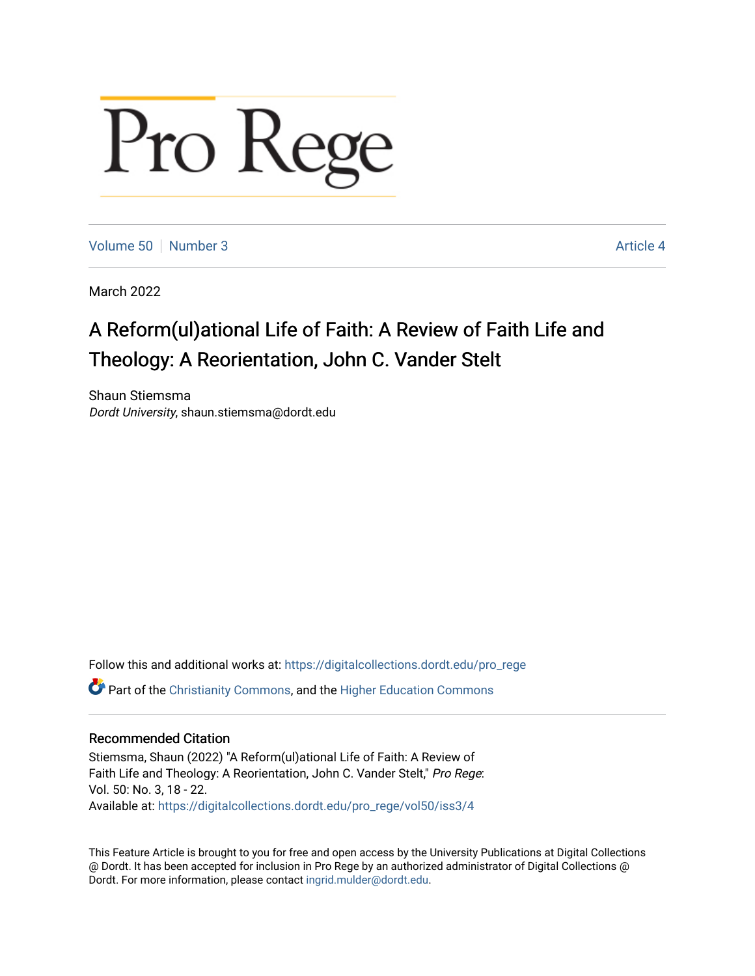## Pro Rege

[Volume 50](https://digitalcollections.dordt.edu/pro_rege/vol50) [Number 3](https://digitalcollections.dordt.edu/pro_rege/vol50/iss3) Article 4

March 2022

## A Reform(ul)ational Life of Faith: A Review of Faith Life and Theology: A Reorientation, John C. Vander Stelt

Shaun Stiemsma Dordt University, shaun.stiemsma@dordt.edu

Follow this and additional works at: [https://digitalcollections.dordt.edu/pro\\_rege](https://digitalcollections.dordt.edu/pro_rege?utm_source=digitalcollections.dordt.edu%2Fpro_rege%2Fvol50%2Fiss3%2F4&utm_medium=PDF&utm_campaign=PDFCoverPages) 

Part of the [Christianity Commons,](http://network.bepress.com/hgg/discipline/1181?utm_source=digitalcollections.dordt.edu%2Fpro_rege%2Fvol50%2Fiss3%2F4&utm_medium=PDF&utm_campaign=PDFCoverPages) and the [Higher Education Commons](http://network.bepress.com/hgg/discipline/1245?utm_source=digitalcollections.dordt.edu%2Fpro_rege%2Fvol50%2Fiss3%2F4&utm_medium=PDF&utm_campaign=PDFCoverPages) 

## Recommended Citation

Stiemsma, Shaun (2022) "A Reform(ul)ational Life of Faith: A Review of Faith Life and Theology: A Reorientation, John C. Vander Stelt," Pro Rege: Vol. 50: No. 3, 18 - 22. Available at: [https://digitalcollections.dordt.edu/pro\\_rege/vol50/iss3/4](https://digitalcollections.dordt.edu/pro_rege/vol50/iss3/4?utm_source=digitalcollections.dordt.edu%2Fpro_rege%2Fvol50%2Fiss3%2F4&utm_medium=PDF&utm_campaign=PDFCoverPages) 

This Feature Article is brought to you for free and open access by the University Publications at Digital Collections @ Dordt. It has been accepted for inclusion in Pro Rege by an authorized administrator of Digital Collections @ Dordt. For more information, please contact [ingrid.mulder@dordt.edu.](mailto:ingrid.mulder@dordt.edu)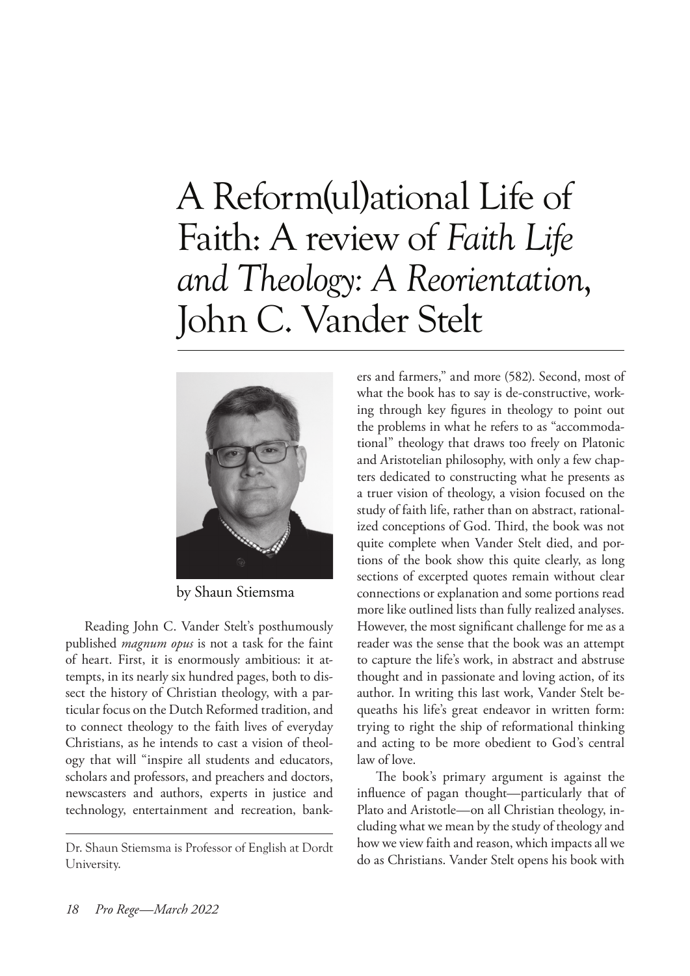## A Reform(ul)ational Life of Faith: A review of *Faith Life and Theology: A Reorientation*, John C. Vander Stelt



by Shaun Stiemsma

Reading John C. Vander Stelt's posthumously published *magnum opus* is not a task for the faint of heart. First, it is enormously ambitious: it attempts, in its nearly six hundred pages, both to dissect the history of Christian theology, with a particular focus on the Dutch Reformed tradition, and to connect theology to the faith lives of everyday Christians, as he intends to cast a vision of theology that will "inspire all students and educators, scholars and professors, and preachers and doctors, newscasters and authors, experts in justice and technology, entertainment and recreation, bank-

ers and farmers," and more (582). Second, most of what the book has to say is de-constructive, working through key figures in theology to point out the problems in what he refers to as "accommodational" theology that draws too freely on Platonic and Aristotelian philosophy, with only a few chapters dedicated to constructing what he presents as a truer vision of theology, a vision focused on the study of faith life, rather than on abstract, rationalized conceptions of God. Third, the book was not quite complete when Vander Stelt died, and portions of the book show this quite clearly, as long sections of excerpted quotes remain without clear connections or explanation and some portions read more like outlined lists than fully realized analyses. However, the most significant challenge for me as a reader was the sense that the book was an attempt to capture the life's work, in abstract and abstruse thought and in passionate and loving action, of its author. In writing this last work, Vander Stelt bequeaths his life's great endeavor in written form: trying to right the ship of reformational thinking and acting to be more obedient to God's central law of love.

The book's primary argument is against the influence of pagan thought—particularly that of Plato and Aristotle—on all Christian theology, including what we mean by the study of theology and how we view faith and reason, which impacts all we do as Christians. Vander Stelt opens his book with

Dr. Shaun Stiemsma is Professor of English at Dordt University.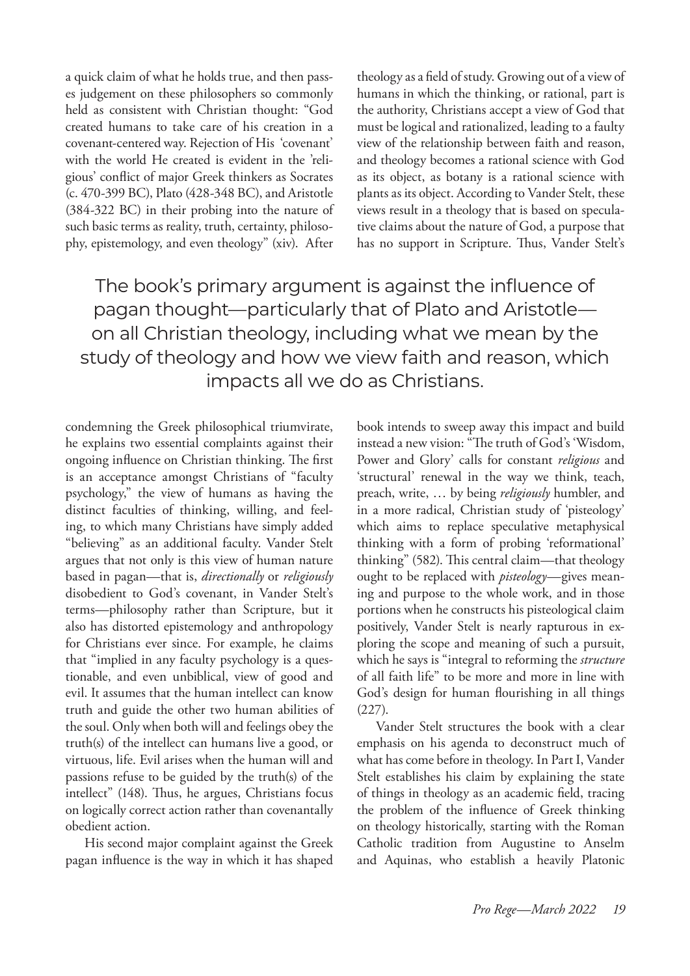a quick claim of what he holds true, and then passes judgement on these philosophers so commonly held as consistent with Christian thought: "God created humans to take care of his creation in a covenant-centered way. Rejection of His 'covenant' with the world He created is evident in the 'religious' conflict of major Greek thinkers as Socrates (c. 470-399 BC), Plato (428-348 BC), and Aristotle (384-322 BC) in their probing into the nature of such basic terms as reality, truth, certainty, philosophy, epistemology, and even theology" (xiv). After

theology as a field of study. Growing out of a view of humans in which the thinking, or rational, part is the authority, Christians accept a view of God that must be logical and rationalized, leading to a faulty view of the relationship between faith and reason, and theology becomes a rational science with God as its object, as botany is a rational science with plants as its object. According to Vander Stelt, these views result in a theology that is based on speculative claims about the nature of God, a purpose that has no support in Scripture. Thus, Vander Stelt's

The book's primary argument is against the influence of pagan thought—particularly that of Plato and Aristotle on all Christian theology, including what we mean by the study of theology and how we view faith and reason, which impacts all we do as Christians.

condemning the Greek philosophical triumvirate, he explains two essential complaints against their ongoing influence on Christian thinking. The first is an acceptance amongst Christians of "faculty psychology," the view of humans as having the distinct faculties of thinking, willing, and feeling, to which many Christians have simply added "believing" as an additional faculty. Vander Stelt argues that not only is this view of human nature based in pagan—that is, *directionally* or *religiously*  disobedient to God's covenant, in Vander Stelt's terms—philosophy rather than Scripture, but it also has distorted epistemology and anthropology for Christians ever since. For example, he claims that "implied in any faculty psychology is a questionable, and even unbiblical, view of good and evil. It assumes that the human intellect can know truth and guide the other two human abilities of the soul. Only when both will and feelings obey the truth(s) of the intellect can humans live a good, or virtuous, life. Evil arises when the human will and passions refuse to be guided by the truth(s) of the intellect" (148). Thus, he argues, Christians focus on logically correct action rather than covenantally obedient action.

His second major complaint against the Greek pagan influence is the way in which it has shaped

book intends to sweep away this impact and build instead a new vision: "The truth of God's 'Wisdom, Power and Glory' calls for constant *religious* and 'structural' renewal in the way we think, teach, preach, write, … by being *religiously* humbler, and in a more radical, Christian study of 'pisteology' which aims to replace speculative metaphysical thinking with a form of probing 'reformational' thinking" (582). This central claim—that theology ought to be replaced with *pisteology*—gives meaning and purpose to the whole work, and in those portions when he constructs his pisteological claim positively, Vander Stelt is nearly rapturous in exploring the scope and meaning of such a pursuit, which he says is "integral to reforming the *structure*  of all faith life" to be more and more in line with God's design for human flourishing in all things (227).

Vander Stelt structures the book with a clear emphasis on his agenda to deconstruct much of what has come before in theology. In Part I, Vander Stelt establishes his claim by explaining the state of things in theology as an academic field, tracing the problem of the influence of Greek thinking on theology historically, starting with the Roman Catholic tradition from Augustine to Anselm and Aquinas, who establish a heavily Platonic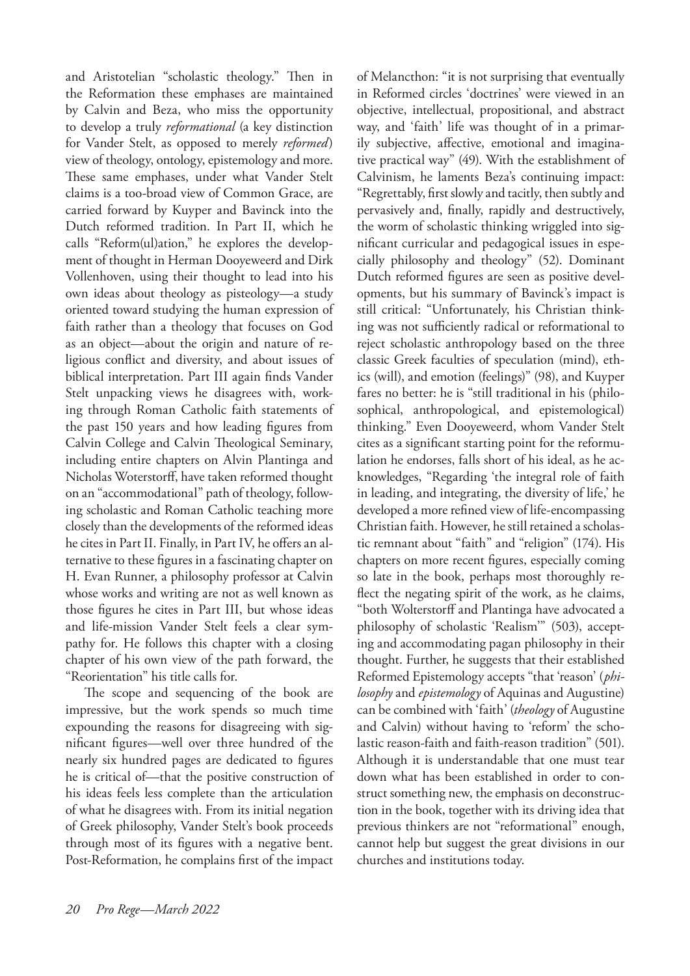and Aristotelian "scholastic theology." Then in the Reformation these emphases are maintained by Calvin and Beza, who miss the opportunity to develop a truly *reformational* (a key distinction for Vander Stelt, as opposed to merely *reformed*) view of theology, ontology, epistemology and more. These same emphases, under what Vander Stelt claims is a too-broad view of Common Grace, are carried forward by Kuyper and Bavinck into the Dutch reformed tradition. In Part II, which he calls "Reform(ul)ation," he explores the development of thought in Herman Dooyeweerd and Dirk Vollenhoven, using their thought to lead into his own ideas about theology as pisteology—a study oriented toward studying the human expression of faith rather than a theology that focuses on God as an object—about the origin and nature of religious conflict and diversity, and about issues of biblical interpretation. Part III again finds Vander Stelt unpacking views he disagrees with, working through Roman Catholic faith statements of the past 150 years and how leading figures from Calvin College and Calvin Theological Seminary, including entire chapters on Alvin Plantinga and Nicholas Woterstorff, have taken reformed thought on an "accommodational" path of theology, following scholastic and Roman Catholic teaching more closely than the developments of the reformed ideas he cites in Part II. Finally, in Part IV, he offers an alternative to these figures in a fascinating chapter on H. Evan Runner, a philosophy professor at Calvin whose works and writing are not as well known as those figures he cites in Part III, but whose ideas and life-mission Vander Stelt feels a clear sympathy for. He follows this chapter with a closing chapter of his own view of the path forward, the "Reorientation" his title calls for.

The scope and sequencing of the book are impressive, but the work spends so much time expounding the reasons for disagreeing with significant figures—well over three hundred of the nearly six hundred pages are dedicated to figures he is critical of—that the positive construction of his ideas feels less complete than the articulation of what he disagrees with. From its initial negation of Greek philosophy, Vander Stelt's book proceeds through most of its figures with a negative bent. Post-Reformation, he complains first of the impact

of Melancthon: "it is not surprising that eventually in Reformed circles 'doctrines' were viewed in an objective, intellectual, propositional, and abstract way, and 'faith' life was thought of in a primarily subjective, affective, emotional and imaginative practical way" (49). With the establishment of Calvinism, he laments Beza's continuing impact: "Regrettably, first slowly and tacitly, then subtly and pervasively and, finally, rapidly and destructively, the worm of scholastic thinking wriggled into significant curricular and pedagogical issues in especially philosophy and theology" (52). Dominant Dutch reformed figures are seen as positive developments, but his summary of Bavinck's impact is still critical: "Unfortunately, his Christian thinking was not sufficiently radical or reformational to reject scholastic anthropology based on the three classic Greek faculties of speculation (mind), ethics (will), and emotion (feelings)" (98), and Kuyper fares no better: he is "still traditional in his (philosophical, anthropological, and epistemological) thinking." Even Dooyeweerd, whom Vander Stelt cites as a significant starting point for the reformulation he endorses, falls short of his ideal, as he acknowledges, "Regarding 'the integral role of faith in leading, and integrating, the diversity of life,' he developed a more refined view of life-encompassing Christian faith. However, he still retained a scholastic remnant about "faith" and "religion" (174). His chapters on more recent figures, especially coming so late in the book, perhaps most thoroughly reflect the negating spirit of the work, as he claims, "both Wolterstorff and Plantinga have advocated a philosophy of scholastic 'Realism'" (503), accepting and accommodating pagan philosophy in their thought. Further, he suggests that their established Reformed Epistemology accepts "that 'reason' (*philosophy* and *epistemology* of Aquinas and Augustine) can be combined with 'faith' (*theology* of Augustine and Calvin) without having to 'reform' the scholastic reason-faith and faith-reason tradition" (501). Although it is understandable that one must tear down what has been established in order to construct something new, the emphasis on deconstruction in the book, together with its driving idea that previous thinkers are not "reformational" enough, cannot help but suggest the great divisions in our churches and institutions today.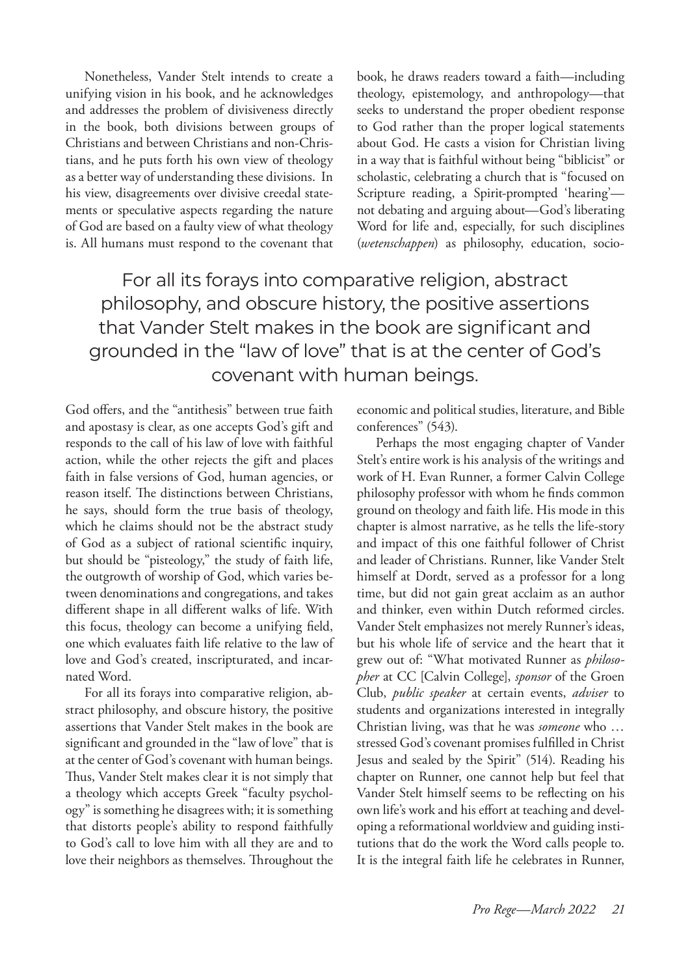Nonetheless, Vander Stelt intends to create a unifying vision in his book, and he acknowledges and addresses the problem of divisiveness directly in the book, both divisions between groups of Christians and between Christians and non-Christians, and he puts forth his own view of theology as a better way of understanding these divisions. In his view, disagreements over divisive creedal statements or speculative aspects regarding the nature of God are based on a faulty view of what theology is. All humans must respond to the covenant that

book, he draws readers toward a faith—including theology, epistemology, and anthropology—that seeks to understand the proper obedient response to God rather than the proper logical statements about God. He casts a vision for Christian living in a way that is faithful without being "biblicist" or scholastic, celebrating a church that is "focused on Scripture reading, a Spirit-prompted 'hearing' not debating and arguing about—God's liberating Word for life and, especially, for such disciplines (*wetenschappen*) as philosophy, education, socio-

For all its forays into comparative religion, abstract philosophy, and obscure history, the positive assertions that Vander Stelt makes in the book are significant and grounded in the "law of love" that is at the center of God's covenant with human beings.

God offers, and the "antithesis" between true faith and apostasy is clear, as one accepts God's gift and responds to the call of his law of love with faithful action, while the other rejects the gift and places faith in false versions of God, human agencies, or reason itself. The distinctions between Christians, he says, should form the true basis of theology, which he claims should not be the abstract study of God as a subject of rational scientific inquiry, but should be "pisteology," the study of faith life, the outgrowth of worship of God, which varies between denominations and congregations, and takes different shape in all different walks of life. With this focus, theology can become a unifying field, one which evaluates faith life relative to the law of love and God's created, inscripturated, and incarnated Word.

For all its forays into comparative religion, abstract philosophy, and obscure history, the positive assertions that Vander Stelt makes in the book are significant and grounded in the "law of love" that is at the center of God's covenant with human beings. Thus, Vander Stelt makes clear it is not simply that a theology which accepts Greek "faculty psychology" is something he disagrees with; it is something that distorts people's ability to respond faithfully to God's call to love him with all they are and to love their neighbors as themselves. Throughout the

economic and political studies, literature, and Bible conferences" (543).

Perhaps the most engaging chapter of Vander Stelt's entire work is his analysis of the writings and work of H. Evan Runner, a former Calvin College philosophy professor with whom he finds common ground on theology and faith life. His mode in this chapter is almost narrative, as he tells the life-story and impact of this one faithful follower of Christ and leader of Christians. Runner, like Vander Stelt himself at Dordt, served as a professor for a long time, but did not gain great acclaim as an author and thinker, even within Dutch reformed circles. Vander Stelt emphasizes not merely Runner's ideas, but his whole life of service and the heart that it grew out of: "What motivated Runner as *philosopher* at CC [Calvin College], *sponsor* of the Groen Club, *public speaker* at certain events, *adviser* to students and organizations interested in integrally Christian living, was that he was *someone* who … stressed God's covenant promises fulfilled in Christ Jesus and sealed by the Spirit" (514). Reading his chapter on Runner, one cannot help but feel that Vander Stelt himself seems to be reflecting on his own life's work and his effort at teaching and developing a reformational worldview and guiding institutions that do the work the Word calls people to. It is the integral faith life he celebrates in Runner,